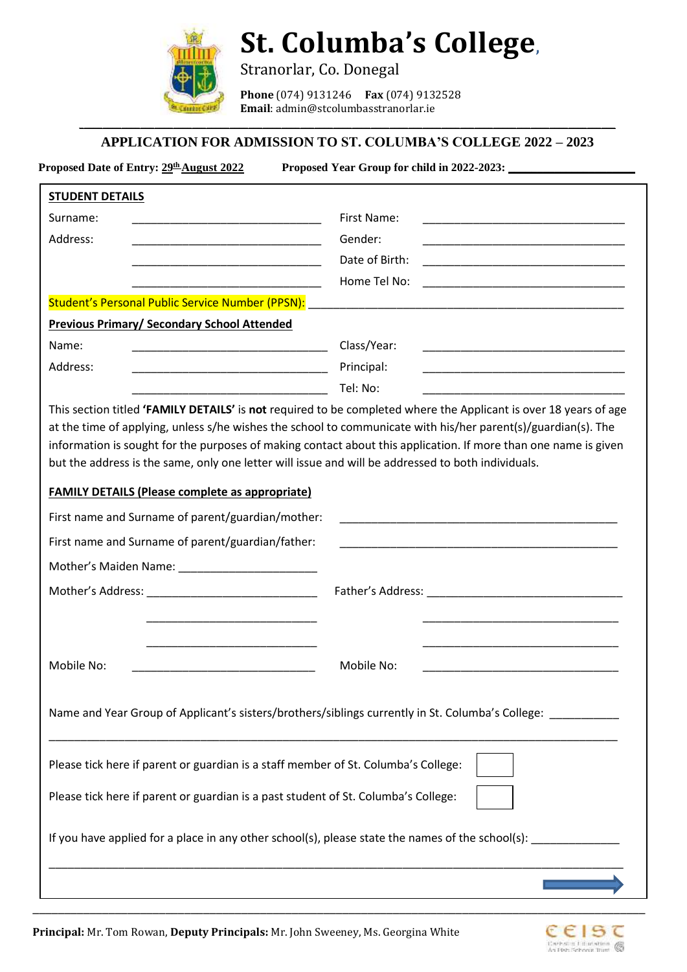

## **St. Columba's College,**

Stranorlar, Co. Donegal

**Phone** (074) 9131246 **Fax** (074) 9132528 **Email**: admin@stcolumbasstranorlar.ie

## \_\_\_\_\_\_\_\_\_\_\_\_\_\_\_\_\_\_\_\_\_\_\_\_\_\_\_\_\_\_\_\_\_\_\_\_\_\_\_\_\_\_\_\_\_\_\_\_\_\_\_\_\_\_\_\_\_\_\_\_\_\_\_\_\_\_\_\_\_\_\_\_\_\_\_\_\_\_\_\_\_\_\_\_\_\_\_\_\_\_\_\_\_\_\_\_\_\_\_\_\_\_\_\_\_\_\_\_\_\_\_\_\_\_ **APPLICATION FOR ADMISSION TO ST. COLUMBA'S COLLEGE 2022 – 2023**

**Proposed Date of Entry:**  $\frac{29^{\text{th}} \text{August } 2022}{\text{August } 2022}$  Proposed Year Group for child in 2022-2023:

| <b>STUDENT DETAILS</b>                                                                                 |                                                                                                                                                                                                                                                                                                                                        |
|--------------------------------------------------------------------------------------------------------|----------------------------------------------------------------------------------------------------------------------------------------------------------------------------------------------------------------------------------------------------------------------------------------------------------------------------------------|
| Surname:                                                                                               | First Name:                                                                                                                                                                                                                                                                                                                            |
| Address:                                                                                               | Gender:<br><u> 1990 - Johann John Stone, mars et al. (</u>                                                                                                                                                                                                                                                                             |
|                                                                                                        | Date of Birth:                                                                                                                                                                                                                                                                                                                         |
|                                                                                                        | Home Tel No:<br><u> 1980 - Jan James, Amerikaansk politiker († 1901)</u>                                                                                                                                                                                                                                                               |
|                                                                                                        | Student's Personal Public Service Number (PPSN): [19] [2010] [2010] [2010] [2010] [2010] [2010] [2010] [2010] [                                                                                                                                                                                                                        |
| <b>Previous Primary/ Secondary School Attended</b>                                                     |                                                                                                                                                                                                                                                                                                                                        |
| Name:                                                                                                  | Class/Year:                                                                                                                                                                                                                                                                                                                            |
| Address:                                                                                               | Principal:                                                                                                                                                                                                                                                                                                                             |
|                                                                                                        | Tel: No:                                                                                                                                                                                                                                                                                                                               |
|                                                                                                        | at the time of applying, unless s/he wishes the school to communicate with his/her parent(s)/guardian(s). The<br>information is sought for the purposes of making contact about this application. If more than one name is given<br>but the address is the same, only one letter will issue and will be addressed to both individuals. |
| <b>FAMILY DETAILS (Please complete as appropriate)</b>                                                 |                                                                                                                                                                                                                                                                                                                                        |
| First name and Surname of parent/guardian/mother:                                                      |                                                                                                                                                                                                                                                                                                                                        |
|                                                                                                        | <u> 1980 - Jan Bernard Bernard, mension bernard bernard bernard bernard bernard bernard bernard bernard bernard b</u>                                                                                                                                                                                                                  |
|                                                                                                        | <u> 1990 - Johann John Stone, mars et al. (1990)</u>                                                                                                                                                                                                                                                                                   |
|                                                                                                        |                                                                                                                                                                                                                                                                                                                                        |
|                                                                                                        |                                                                                                                                                                                                                                                                                                                                        |
|                                                                                                        | Father's Address: North and Secretary and Secretary and Secretary and Secretary and Secretary and Secretary and Secretary and Secretary and Secretary and Secretary and Secretary and Secretary and Secretary and Secretary an                                                                                                         |
|                                                                                                        |                                                                                                                                                                                                                                                                                                                                        |
| First name and Surname of parent/guardian/father:<br>Mother's Maiden Name: ___________________________ |                                                                                                                                                                                                                                                                                                                                        |
| Mobile No:                                                                                             | Mobile No:                                                                                                                                                                                                                                                                                                                             |
|                                                                                                        | Name and Year Group of Applicant's sisters/brothers/siblings currently in St. Columba's College:                                                                                                                                                                                                                                       |
| Please tick here if parent or guardian is a staff member of St. Columba's College:                     |                                                                                                                                                                                                                                                                                                                                        |
| Please tick here if parent or guardian is a past student of St. Columba's College:                     |                                                                                                                                                                                                                                                                                                                                        |

\_\_\_\_\_\_\_\_\_\_\_\_\_\_\_\_\_\_\_\_\_\_\_\_\_\_\_\_\_\_\_\_\_\_\_\_\_\_\_\_\_\_\_\_\_\_\_\_\_\_\_\_\_\_\_\_\_\_\_\_\_\_\_\_\_\_\_\_\_\_\_\_\_\_\_\_\_\_\_\_\_\_\_\_\_\_\_\_\_\_\_\_\_\_\_\_\_